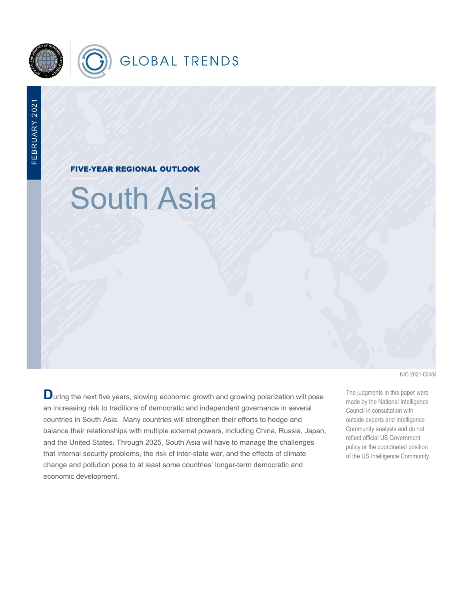

FIVE-YEAR REGIONAL OUTLOOK

South Asia

**D**uring the next five years, slowing economic growth and growing polarization will pose an increasing risk to traditions of democratic and independent governance in several countries in South Asia. Many countries will strengthen their efforts to hedge and balance their relationships with multiple external powers, including China, Russia, Japan, and the United States. Through 2025, South Asia will have to manage the challenges that internal security problems, the risk of inter-state war, and the effects of climate change and pollution pose to at least some countries' longer-term democratic and economic development.

NIC-2021-02484

The judgments in this paper were made by the National Intelligence Council in consultation with outside experts and Intelligence Community analysts and do not reflect official US Government policy or the coordinated position of the US Intelligence Community.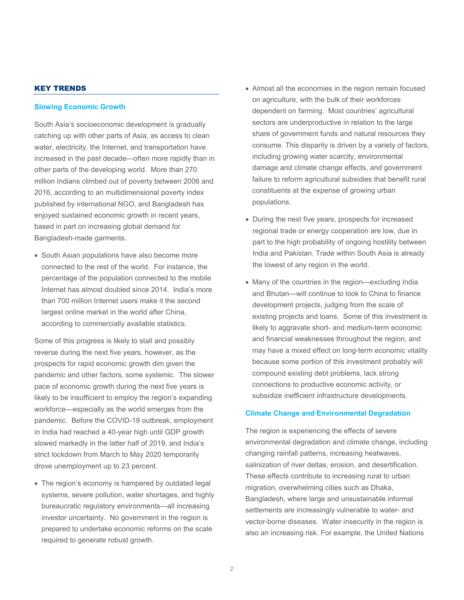# KEY TRENDS

### **Slowing Economic Growth**

South Asia's socioeconomic development is gradually catching up with other parts of Asia, as access to clean water, electricity, the Internet, and transportation have increased in the past decade—often more rapidly than in other parts of the developing world. More than 270 million Indians climbed out of poverty between 2006 and 2016, according to an multidimensional poverty index published by international NGO, and Bangladesh has enjoyed sustained economic growth in recent years, based in part on increasing global demand for Bangladesh-made garments.

• South Asian populations have also become more connected to the rest of the world. For instance, the percentage of the population connected to the mobile Internet has almost doubled since 2014. India's more than 700 million Internet users make it the second largest online market in the world after China, according to commercially available statistics.

Some of this progress is likely to stall and possibly reverse during the next five years, however, as the prospects for rapid economic growth dim given the pandemic and other factors, some systemic. The slower pace of economic growth during the next five years is likely to be insufficient to employ the region's expanding workforce—especially as the world emerges from the pandemic. Before the COVID-19 outbreak, employment in India had reached a 40-year high until GDP growth slowed markedly in the latter half of 2019, and India's strict lockdown from March to May 2020 temporarily drove unemployment up to 23 percent.

• The region's economy is hampered by outdated legal systems, severe pollution, water shortages, and highly bureaucratic regulatory environments—all increasing investor uncertainty. No government in the region is prepared to undertake economic reforms on the scale required to generate robust growth.

- Almost all the economies in the region remain focused on agriculture, with the bulk of their workforces dependent on farming. Most countries' agricultural sectors are underproductive in relation to the large share of government funds and natural resources they consume. This disparity is driven by a variety of factors, including growing water scarcity, environmental damage and climate change effects, and government failure to reform agricultural subsidies that benefit rural constituents at the expense of growing urban populations.
- During the next five years, prospects for increased regional trade or energy cooperation are low, due in part to the high probability of ongoing hostility between India and Pakistan. Trade within South Asia is already the lowest of any region in the world.
- Many of the countries in the region—excluding India and Bhutan—will continue to look to China to finance development projects, judging from the scale of existing projects and loans. Some of this investment is likely to aggravate short- and medium-term economic and financial weaknesses throughout the region, and may have a mixed effect on long-term economic vitality because some portion of this investment probably will compound existing debt problems, lack strong connections to productive economic activity, or subsidize inefficient infrastructure developments.

### **Climate Change and Environmental Degradation**

The region is experiencing the effects of severe environmental degradation and climate change, including changing rainfall patterns, increasing heatwaves, salinization of river deltas, erosion, and desertification. These effects contribute to increasing rural to urban migration, overwhelming cities such as Dhaka, Bangladesh, where large and unsustainable informal settlements are increasingly vulnerable to water- and vector-borne diseases. Water insecurity in the region is also an increasing risk. For example, the United Nations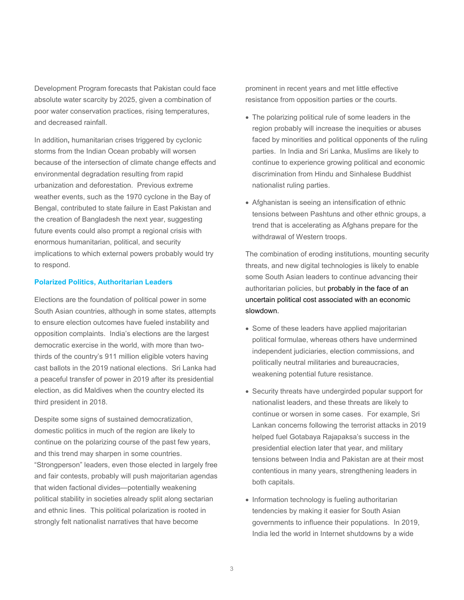Development Program forecasts that Pakistan could face absolute water scarcity by 2025, given a combination of poor water conservation practices, rising temperatures, and decreased rainfall.

In addition**,** humanitarian crises triggered by cyclonic storms from the Indian Ocean probably will worsen because of the intersection of climate change effects and environmental degradation resulting from rapid urbanization and deforestation. Previous extreme weather events, such as the 1970 cyclone in the Bay of Bengal, contributed to state failure in East Pakistan and the creation of Bangladesh the next year, suggesting future events could also prompt a regional crisis with enormous humanitarian, political, and security implications to which external powers probably would try to respond.

### **Polarized Politics, Authoritarian Leaders**

Elections are the foundation of political power in some South Asian countries, although in some states, attempts to ensure election outcomes have fueled instability and opposition complaints. India's elections are the largest democratic exercise in the world, with more than twothirds of the country's 911 million eligible voters having cast ballots in the 2019 national elections. Sri Lanka had a peaceful transfer of power in 2019 after its presidential election, as did Maldives when the country elected its third president in 2018.

Despite some signs of sustained democratization, domestic politics in much of the region are likely to continue on the polarizing course of the past few years, and this trend may sharpen in some countries. "Strongperson" leaders, even those elected in largely free and fair contests, probably will push majoritarian agendas that widen factional divides—potentially weakening political stability in societies already split along sectarian and ethnic lines. This political polarization is rooted in strongly felt nationalist narratives that have become

prominent in recent years and met little effective resistance from opposition parties or the courts.

- The polarizing political rule of some leaders in the region probably will increase the inequities or abuses faced by minorities and political opponents of the ruling parties. In India and Sri Lanka, Muslims are likely to continue to experience growing political and economic discrimination from Hindu and Sinhalese Buddhist nationalist ruling parties.
- Afghanistan is seeing an intensification of ethnic tensions between Pashtuns and other ethnic groups, a trend that is accelerating as Afghans prepare for the withdrawal of Western troops.

The combination of eroding institutions, mounting security threats, and new digital technologies is likely to enable some South Asian leaders to continue advancing their authoritarian policies, but probably in the face of an uncertain political cost associated with an economic slowdown.

- Some of these leaders have applied majoritarian political formulae, whereas others have undermined independent judiciaries, election commissions, and politically neutral militaries and bureaucracies, weakening potential future resistance.
- Security threats have undergirded popular support for nationalist leaders, and these threats are likely to continue or worsen in some cases. For example, Sri Lankan concerns following the terrorist attacks in 2019 helped fuel Gotabaya Rajapaksa's success in the presidential election later that year, and military tensions between India and Pakistan are at their most contentious in many years, strengthening leaders in both capitals.
- Information technology is fueling authoritarian tendencies by making it easier for South Asian governments to influence their populations. In 2019, India led the world in Internet shutdowns by a wide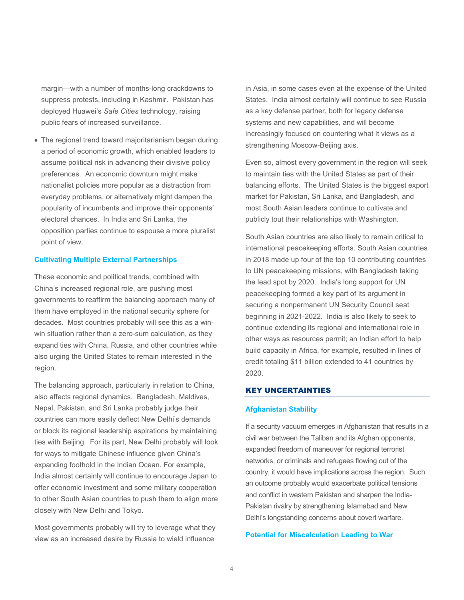margin—with a number of months-long crackdowns to suppress protests, including in Kashmir. Pakistan has deployed Huawei's *Safe Cities* technology, raising public fears of increased surveillance.

• The regional trend toward majoritarianism began during a period of economic growth, which enabled leaders to assume political risk in advancing their divisive policy preferences. An economic downturn might make nationalist policies more popular as a distraction from everyday problems, or alternatively might dampen the popularity of incumbents and improve their opponents' electoral chances. In India and Sri Lanka, the opposition parties continue to espouse a more pluralist point of view.

#### **Cultivating Multiple External Partnerships**

These economic and political trends, combined with China's increased regional role, are pushing most governments to reaffirm the balancing approach many of them have employed in the national security sphere for decades. Most countries probably will see this as a winwin situation rather than a zero-sum calculation, as they expand ties with China, Russia, and other countries while also urging the United States to remain interested in the region.

The balancing approach, particularly in relation to China, also affects regional dynamics. Bangladesh, Maldives, Nepal, Pakistan, and Sri Lanka probably judge their countries can more easily deflect New Delhi's demands or block its regional leadership aspirations by maintaining ties with Beijing. For its part, New Delhi probably will look for ways to mitigate Chinese influence given China's expanding foothold in the Indian Ocean. For example, India almost certainly will continue to encourage Japan to offer economic investment and some military cooperation to other South Asian countries to push them to align more closely with New Delhi and Tokyo.

Most governments probably will try to leverage what they view as an increased desire by Russia to wield influence

in Asia, in some cases even at the expense of the United States. India almost certainly will continue to see Russia as a key defense partner, both for legacy defense systems and new capabilities, and will become increasingly focused on countering what it views as a strengthening Moscow-Beijing axis.

Even so, almost every government in the region will seek to maintain ties with the United States as part of their balancing efforts. The United States is the biggest export market for Pakistan, Sri Lanka, and Bangladesh, and most South Asian leaders continue to cultivate and publicly tout their relationships with Washington.

South Asian countries are also likely to remain critical to international peacekeeping efforts. South Asian countries in 2018 made up four of the top 10 contributing countries to UN peacekeeping missions, with Bangladesh taking the lead spot by 2020. India's long support for UN peacekeeping formed a key part of its argument in securing a nonpermanent UN Security Council seat beginning in 2021-2022. India is also likely to seek to continue extending its regional and international role in other ways as resources permit; an Indian effort to help build capacity in Africa, for example, resulted in lines of credit totaling \$11 billion extended to 41 countries by 2020.

#### KEY UNCERTAINTIES

# **Afghanistan Stability**

If a security vacuum emerges in Afghanistan that results in a civil war between the Taliban and its Afghan opponents, expanded freedom of maneuver for regional terrorist networks, or criminals and refugees flowing out of the country, it would have implications across the region. Such an outcome probably would exacerbate political tensions and conflict in western Pakistan and sharpen the India-Pakistan rivalry by strengthening Islamabad and New Delhi's longstanding concerns about covert warfare.

# **Potential for Miscalculation Leading to War**